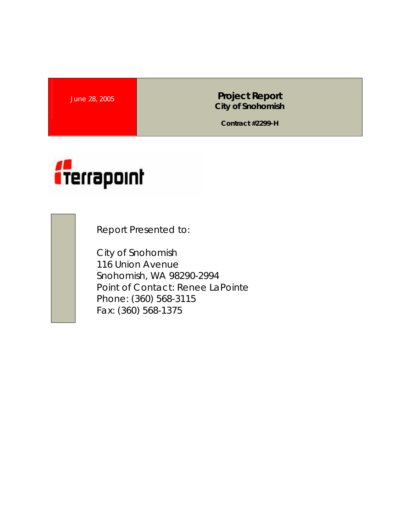**June 28, 2005 <b>Project Report Project Report City of Snohomish** 

**Contract #2299-H** 



Report Presented to:

City of Snohomish 116 Union Avenue Snohomish, WA 98290-2994 Point of Contact: Renee LaPointe Phone: (360) 568-3115 Fax: (360) 568-1375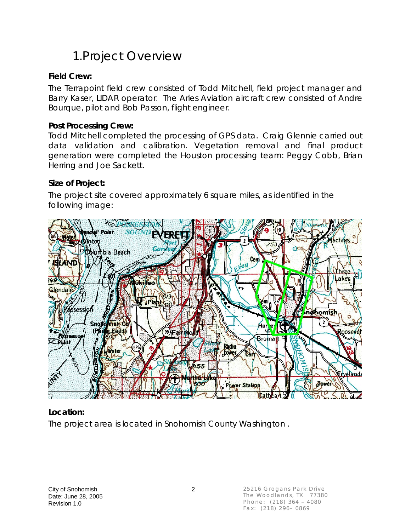# 1.Project Overview

### **Field Crew:**

The Terrapoint field crew consisted of Todd Mitchell, field project manager and Barry Kaser, LIDAR operator. The Aries Aviation aircraft crew consisted of Andre Bourque, pilot and Bob Passon, flight engineer.

#### **Post Processing Crew:**

Todd Mitchell completed the processing of GPS data. Craig Glennie carried out data validation and calibration. Vegetation removal and final product generation were completed the Houston processing team: Peggy Cobb, Brian Herring and Joe Sackett.

### **Size of Project:**

The project site covered approximately 6 square miles, as identified in the following image:



### **Location:**

The project area is located in Snohomish County Washington .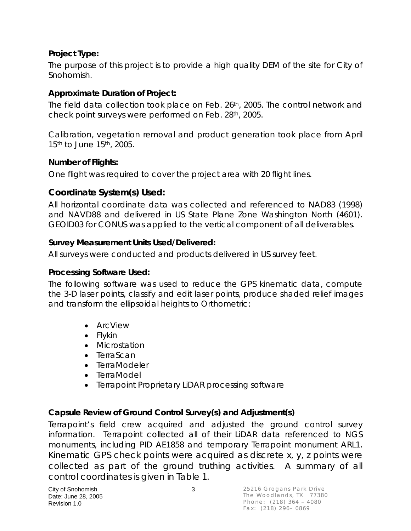### **Project Type:**

The purpose of this project is to provide a high quality DEM of the site for City of Snohomish.

### **Approximate Duration of Project:**

The field data collection took place on Feb. 26th, 2005. The control network and check point surveys were performed on Feb. 28th, 2005.

Calibration, vegetation removal and product generation took place from April 15th to June 15th, 2005.

### **Number of Flights:**

One flight was required to cover the project area with 20 flight lines.

### **Coordinate System(s) Used:**

All horizontal coordinate data was collected and referenced to NAD83 (1998) and NAVD88 and delivered in US State Plane Zone Washington North (4601). GEOID03 for CONUS was applied to the vertical component of all deliverables.

### **Survey Measurement Units Used/Delivered:**

All surveys were conducted and products delivered in US survey feet.

#### **Processing Software Used:**

The following software was used to reduce the GPS kinematic data, compute the 3-D laser points, classify and edit laser points, produce shaded relief images and transform the ellipsoidal heights to Orthometric:

- ArcView
- Flykin
- Microstation
- TerraScan
- TerraModeler
- TerraModel
- Terrapoint Proprietary LiDAR processing software

### **Capsule Review of Ground Control Survey(s) and Adjustment(s)**

Terrapoint's field crew acquired and adjusted the ground control survey information. Terrapoint collected all of their LiDAR data referenced to NGS monuments, including PID AE1858 and temporary Terrapoint monument ARL1. Kinematic GPS check points were acquired as discrete x, y, z points were collected as part of the ground truthing activities. A summary of all control coordinates is given in Table 1.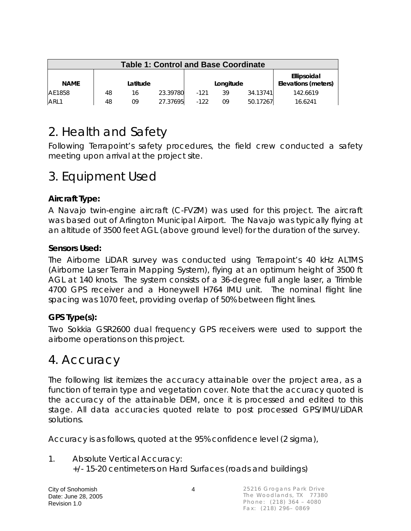| <b>Table 1: Control and Base Coordinate</b> |    |          |          |        |           |          |                                    |  |
|---------------------------------------------|----|----------|----------|--------|-----------|----------|------------------------------------|--|
| <b>NAME</b>                                 |    | Latitude |          |        | Longitude |          | Ellipsoidal<br>Elevations (meters) |  |
| AE1858                                      | 48 | 16       | 23.39780 | $-121$ | 39        | 34.13741 | 142.6619                           |  |
| ARL1                                        | 48 | 09       | 27.37695 | $-122$ | 09        | 50.17267 | 16.6241                            |  |

# 2. Health and Safety

Following Terrapoint's safety procedures, the field crew conducted a safety meeting upon arrival at the project site.

### 3. Equipment Used

### **Aircraft Type:**

A Navajo twin-engine aircraft (C-FVZM) was used for this project. The aircraft was based out of Arlington Municipal Airport. The Navajo was typically flying at an altitude of 3500 feet AGL (above ground level) for the duration of the survey.

### **Sensors Used:**

The Airborne LiDAR survey was conducted using Terrapoint's 40 kHz ALTMS (Airborne Laser Terrain Mapping System), flying at an optimum height of 3500 ft AGL at 140 knots. The system consists of a 36-degree full angle laser, a Trimble 4700 GPS receiver and a Honeywell H764 IMU unit. The nominal flight line spacing was 1070 feet, providing overlap of 50% between flight lines.

### **GPS Type(s):**

Two Sokkia GSR2600 dual frequency GPS receivers were used to support the airborne operations on this project.

### 4. Accuracy

The following list itemizes the accuracy attainable over the project area, as a function of terrain type and vegetation cover. Note that the accuracy quoted is the accuracy of the attainable DEM, once it is processed and edited to this stage. All data accuracies quoted relate to post processed GPS/IMU/LiDAR solutions.

Accuracy is as follows, quoted at the 95% confidence level (2 sigma),

1. Absolute Vertical Accuracy: +/- 15-20 centimeters on Hard Surfaces (roads and buildings)

City of Snohomish 4 Date: June 28, 2005 Revision 1.0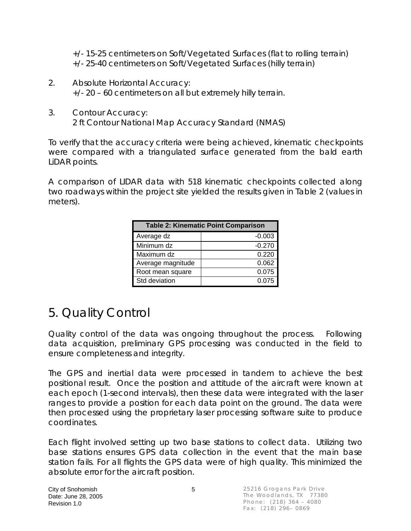+/- 15-25 centimeters on Soft/Vegetated Surfaces (flat to rolling terrain) +/- 25-40 centimeters on Soft/Vegetated Surfaces (hilly terrain)

- 2. Absolute Horizontal Accuracy: +/- 20 – 60 centimeters on all but extremely hilly terrain.
- 3. Contour Accuracy: 2 ft Contour National Map Accuracy Standard (NMAS)

To verify that the accuracy criteria were being achieved, kinematic checkpoints were compared with a triangulated surface generated from the bald earth LiDAR points.

A comparison of LIDAR data with 518 kinematic checkpoints collected along two roadways within the project site yielded the results given in Table 2 (values in meters).

| <b>Table 2: Kinematic Point Comparison</b> |          |  |  |  |  |  |
|--------------------------------------------|----------|--|--|--|--|--|
| Average dz                                 | $-0.003$ |  |  |  |  |  |
| Minimum dz                                 | $-0.270$ |  |  |  |  |  |
| Maximum dz                                 | 0.220    |  |  |  |  |  |
| Average magnitude                          | 0.062    |  |  |  |  |  |
| Root mean square                           | 0.075    |  |  |  |  |  |
| Std deviation                              | 0.075    |  |  |  |  |  |

# 5. Quality Control

Quality control of the data was ongoing throughout the process. Following data acquisition, preliminary GPS processing was conducted in the field to ensure completeness and integrity.

The GPS and inertial data were processed in tandem to achieve the best positional result. Once the position and attitude of the aircraft were known at each epoch (1-second intervals), then these data were integrated with the laser ranges to provide a position for each data point on the ground. The data were then processed using the proprietary laser processing software suite to produce coordinates.

Each flight involved setting up two base stations to collect data. Utilizing two base stations ensures GPS data collection in the event that the main base station fails. For all flights the GPS data were of high quality. This minimized the absolute error for the aircraft position.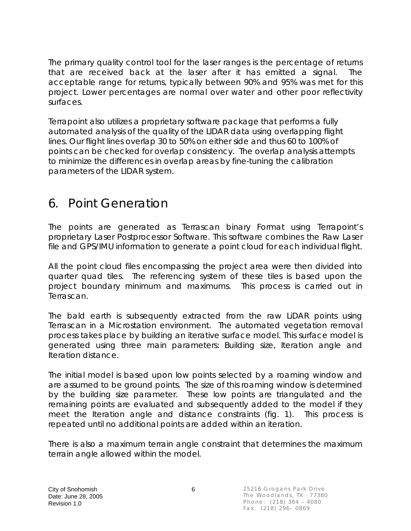The primary quality control tool for the laser ranges is the percentage of returns that are received back at the laser after it has emitted a signal. The acceptable range for returns, typically between 90% and 95% was met for this project. Lower percentages are normal over water and other poor reflectivity surfaces.

Terrapoint also utilizes a proprietary software package that performs a fully automated analysis of the quality of the LIDAR data using overlapping flight lines. Our flight lines overlap 30 to 50% on either side and thus 60 to 100% of points can be checked for overlap consistency. The overlap analysis attempts to minimize the differences in overlap areas by fine-tuning the calibration parameters of the LIDAR system.

## 6. Point Generation

The points are generated as Terrascan binary Format using Terrapoint's proprietary Laser Postprocessor Software. This software combines the Raw Laser file and GPS/IMU information to generate a point cloud for each individual flight.

All the point cloud files encompassing the project area were then divided into quarter quad tiles. The referencing system of these tiles is based upon the project boundary minimum and maximums. This process is carried out in Terrascan.

The bald earth is subsequently extracted from the raw LiDAR points using Terrascan in a Microstation environment. The automated vegetation removal process takes place by building an iterative surface model. This surface model is generated using three main parameters: Building size, Iteration angle and Iteration distance.

The initial model is based upon low points selected by a roaming window and are assumed to be ground points. The size of this roaming window is determined by the building size parameter. These low points are triangulated and the remaining points are evaluated and subsequently added to the model if they meet the Iteration angle and distance constraints (fig. 1). This process is repeated until no additional points are added within an iteration.

There is also a maximum terrain angle constraint that determines the maximum terrain angle allowed within the model.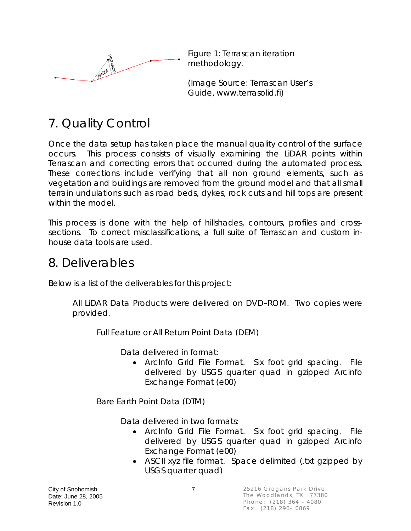

Figure 1: Terrascan iteration methodology.

(Image Source: Terrascan User's Guide, www.terrasolid.fi)

# 7. Quality Control

Once the data setup has taken place the manual quality control of the surface occurs. This process consists of visually examining the LiDAR points within Terrascan and correcting errors that occurred during the automated process. These corrections include verifying that all non ground elements, such as vegetation and buildings are removed from the ground model and that all small terrain undulations such as road beds, dykes, rock cuts and hill tops are present within the model.

This process is done with the help of hillshades, contours, profiles and crosssections. To correct misclassifications, a full suite of Terrascan and custom inhouse data tools are used.

### 8. Deliverables

Below is a list of the deliverables for this project:

All LiDAR Data Products were delivered on DVD–ROM. Two copies were provided.

Full Feature or All Return Point Data (DEM)

Data delivered in format:

• ArcInfo Grid File Format. Six foot grid spacing. File delivered by USGS quarter quad in gzipped Arcinfo Exchange Format (e00)

Bare Earth Point Data (DTM)

Data delivered in two formats:

- ArcInfo Grid File Format. Six foot grid spacing. File delivered by USGS quarter quad in gzipped Arcinfo Exchange Format (e00)
- ASCII xyz file format. Space delimited (.txt gzipped by USGS quarter quad)